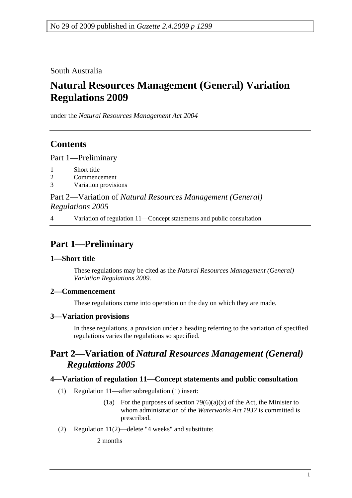South Australia

# **Natural Resources Management (General) Variation Regulations 2009**

under the *Natural Resources Management Act 2004*

# **Contents**

Part 1—Preliminary

- 1 Short title
- 2 Commencement
- 3 Variation provisions

Part 2—Variation of *Natural Resources Management (General) Regulations 2005*

4 Variation of regulation 11—Concept statements and public consultation

# **Part 1—Preliminary**

#### **1—Short title**

These regulations may be cited as the *Natural Resources Management (General) Variation Regulations 2009*.

#### **2—Commencement**

These regulations come into operation on the day on which they are made.

### **3—Variation provisions**

In these regulations, a provision under a heading referring to the variation of specified regulations varies the regulations so specified.

### **Part 2—Variation of** *Natural Resources Management (General) Regulations 2005*

#### **4—Variation of regulation 11—Concept statements and public consultation**

- (1) Regulation 11—after subregulation (1) insert:
	- (1a) For the purposes of section  $79(6)(a)(x)$  of the Act, the Minister to whom administration of the *Waterworks Act 1932* is committed is prescribed.
- (2) Regulation 11(2)—delete "4 weeks" and substitute:

2 months